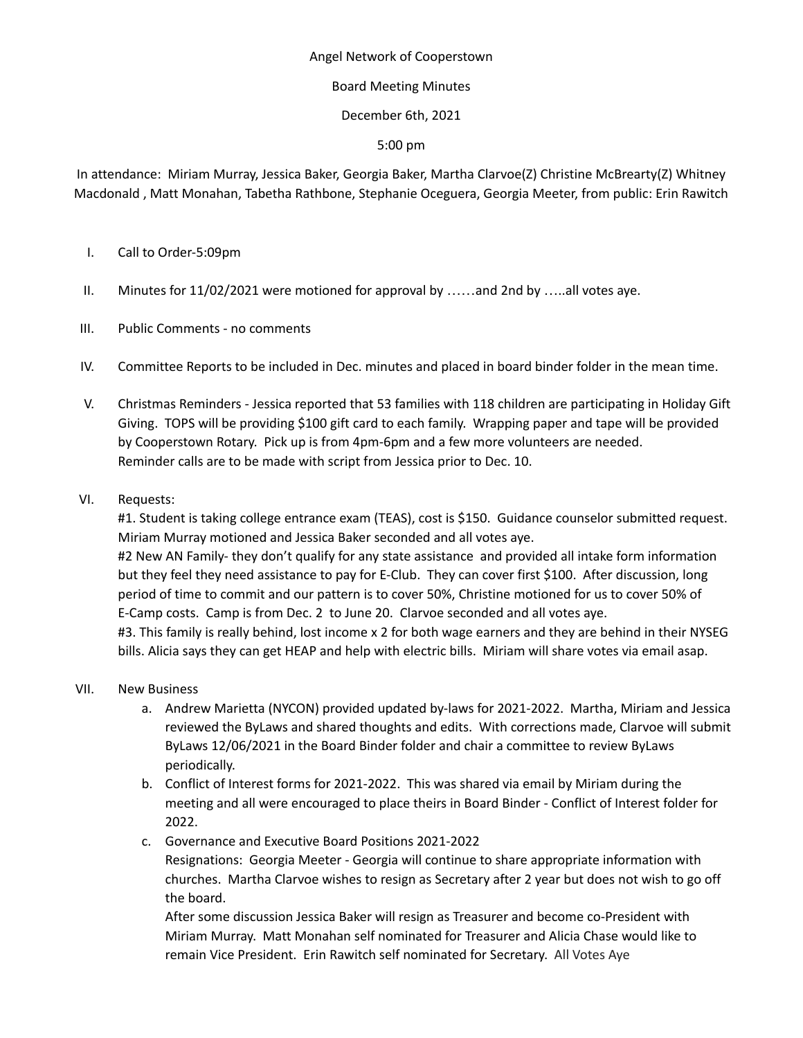## Angel Network of Cooperstown

# Board Meeting Minutes

December 6th, 2021

5:00 pm

In attendance: Miriam Murray, Jessica Baker, Georgia Baker, Martha Clarvoe(Z) Christine McBrearty(Z) Whitney Macdonald , Matt Monahan, Tabetha Rathbone, Stephanie Oceguera, Georgia Meeter, from public: Erin Rawitch

- I. Call to Order-5:09pm
- II. Minutes for 11/02/2021 were motioned for approval by ……and 2nd by …..all votes aye.
- III. Public Comments no comments
- IV. Committee Reports to be included in Dec. minutes and placed in board binder folder in the mean time.
- V. Christmas Reminders Jessica reported that 53 families with 118 children are participating in Holiday Gift Giving. TOPS will be providing \$100 gift card to each family. Wrapping paper and tape will be provided by Cooperstown Rotary. Pick up is from 4pm-6pm and a few more volunteers are needed. Reminder calls are to be made with script from Jessica prior to Dec. 10.
- VI. Requests:

#1. Student is taking college entrance exam (TEAS), cost is \$150. Guidance counselor submitted request. Miriam Murray motioned and Jessica Baker seconded and all votes aye. #2 New AN Family- they don't qualify for any state assistance and provided all intake form information but they feel they need assistance to pay for E-Club. They can cover first \$100. After discussion, long period of time to commit and our pattern is to cover 50%, Christine motioned for us to cover 50% of E-Camp costs. Camp is from Dec. 2 to June 20. Clarvoe seconded and all votes aye. #3. This family is really behind, lost income x 2 for both wage earners and they are behind in their NYSEG bills. Alicia says they can get HEAP and help with electric bills. Miriam will share votes via email asap.

- VII. New Business
	- a. Andrew Marietta (NYCON) provided updated by-laws for 2021-2022. Martha, Miriam and Jessica reviewed the ByLaws and shared thoughts and edits. With corrections made, Clarvoe will submit ByLaws 12/06/2021 in the Board Binder folder and chair a committee to review ByLaws periodically.
	- b. Conflict of Interest forms for 2021-2022. This was shared via email by Miriam during the meeting and all were encouraged to place theirs in Board Binder - Conflict of Interest folder for 2022.
	- c. Governance and Executive Board Positions 2021-2022

Resignations: Georgia Meeter - Georgia will continue to share appropriate information with churches. Martha Clarvoe wishes to resign as Secretary after 2 year but does not wish to go off the board.

After some discussion Jessica Baker will resign as Treasurer and become co-President with Miriam Murray. Matt Monahan self nominated for Treasurer and Alicia Chase would like to remain Vice President. Erin Rawitch self nominated for Secretary. All Votes Aye